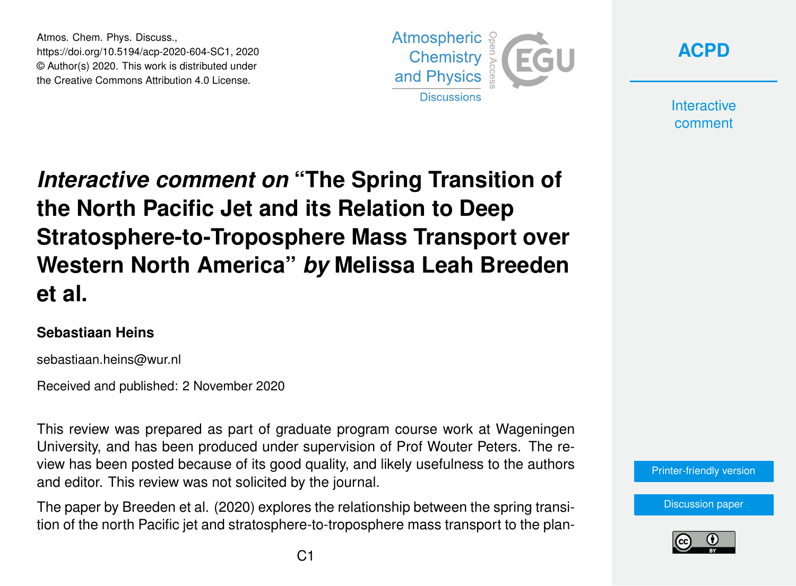Atmos. Chem. Phys. Discuss., https://doi.org/10.5194/acp-2020-604-SC1, 2020 © Author(s) 2020. This work is distributed under the Creative Commons Attribution 4.0 License.





**Interactive** comment

# *Interactive comment on* **"The Spring Transition of the North Pacific Jet and its Relation to Deep Stratosphere-to-Troposphere Mass Transport over Western North America"** *by* **Melissa Leah Breeden et al.**

#### **Sebastiaan Heins**

sebastiaan.heins@wur.nl

Received and published: 2 November 2020

This review was prepared as part of graduate program course work at Wageningen University, and has been produced under supervision of Prof Wouter Peters. The review has been posted because of its good quality, and likely usefulness to the authors and editor. This review was not solicited by the journal.

The paper by Breeden et al. (2020) explores the relationship between the spring transition of the north Pacific jet and stratosphere-to-troposphere mass transport to the plan-



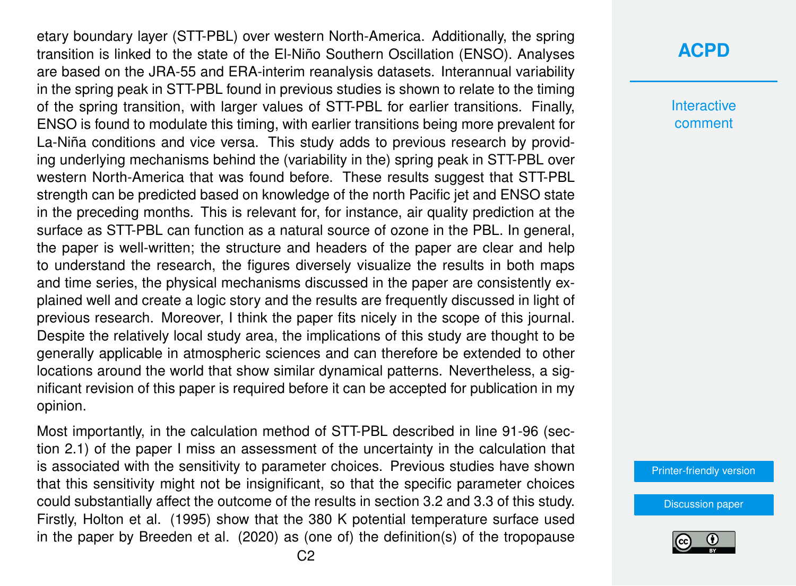etary boundary layer (STT-PBL) over western North-America. Additionally, the spring transition is linked to the state of the El-Niño Southern Oscillation (ENSO). Analyses are based on the JRA-55 and ERA-interim reanalysis datasets. Interannual variability in the spring peak in STT-PBL found in previous studies is shown to relate to the timing of the spring transition, with larger values of STT-PBL for earlier transitions. Finally, ENSO is found to modulate this timing, with earlier transitions being more prevalent for La-Niña conditions and vice versa. This study adds to previous research by providing underlying mechanisms behind the (variability in the) spring peak in STT-PBL over western North-America that was found before. These results suggest that STT-PBL strength can be predicted based on knowledge of the north Pacific jet and ENSO state in the preceding months. This is relevant for, for instance, air quality prediction at the surface as STT-PBL can function as a natural source of ozone in the PBL. In general, the paper is well-written; the structure and headers of the paper are clear and help to understand the research, the figures diversely visualize the results in both maps and time series, the physical mechanisms discussed in the paper are consistently explained well and create a logic story and the results are frequently discussed in light of previous research. Moreover, I think the paper fits nicely in the scope of this journal. Despite the relatively local study area, the implications of this study are thought to be generally applicable in atmospheric sciences and can therefore be extended to other locations around the world that show similar dynamical patterns. Nevertheless, a significant revision of this paper is required before it can be accepted for publication in my opinion.

Most importantly, in the calculation method of STT-PBL described in line 91-96 (section 2.1) of the paper I miss an assessment of the uncertainty in the calculation that is associated with the sensitivity to parameter choices. Previous studies have shown that this sensitivity might not be insignificant, so that the specific parameter choices could substantially affect the outcome of the results in section 3.2 and 3.3 of this study. Firstly, Holton et al. (1995) show that the 380 K potential temperature surface used in the paper by Breeden et al. (2020) as (one of) the definition(s) of the tropopause

### **[ACPD](https://acp.copernicus.org/preprints/)**

**Interactive** comment

[Printer-friendly version](https://acp.copernicus.org/preprints/acp-2020-604/acp-2020-604-SC1-print.pdf)

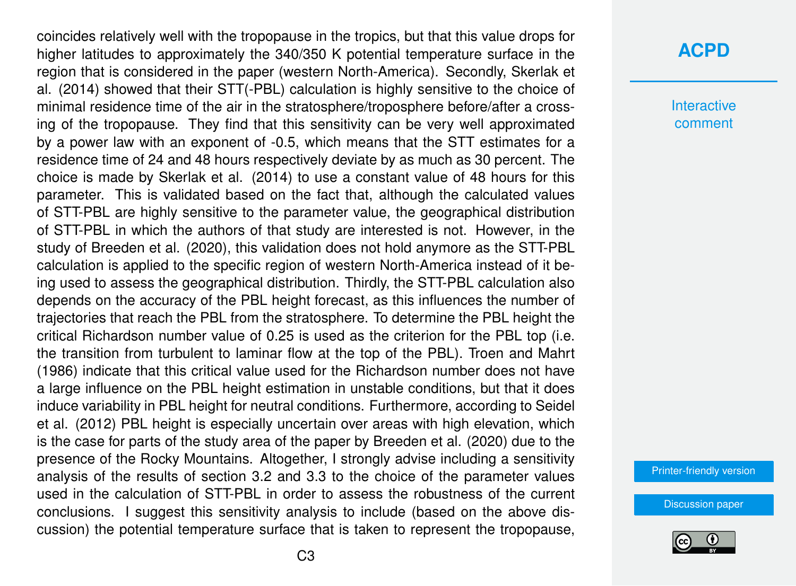coincides relatively well with the tropopause in the tropics, but that this value drops for higher latitudes to approximately the 340/350 K potential temperature surface in the region that is considered in the paper (western North-America). Secondly, Skerlak et al. (2014) showed that their STT(-PBL) calculation is highly sensitive to the choice of minimal residence time of the air in the stratosphere/troposphere before/after a crossing of the tropopause. They find that this sensitivity can be very well approximated by a power law with an exponent of -0.5, which means that the STT estimates for a residence time of 24 and 48 hours respectively deviate by as much as 30 percent. The choice is made by Skerlak et al. (2014) to use a constant value of 48 hours for this parameter. This is validated based on the fact that, although the calculated values of STT-PBL are highly sensitive to the parameter value, the geographical distribution of STT-PBL in which the authors of that study are interested is not. However, in the study of Breeden et al. (2020), this validation does not hold anymore as the STT-PBL calculation is applied to the specific region of western North-America instead of it being used to assess the geographical distribution. Thirdly, the STT-PBL calculation also depends on the accuracy of the PBL height forecast, as this influences the number of trajectories that reach the PBL from the stratosphere. To determine the PBL height the critical Richardson number value of 0.25 is used as the criterion for the PBL top (i.e. the transition from turbulent to laminar flow at the top of the PBL). Troen and Mahrt (1986) indicate that this critical value used for the Richardson number does not have a large influence on the PBL height estimation in unstable conditions, but that it does induce variability in PBL height for neutral conditions. Furthermore, according to Seidel et al. (2012) PBL height is especially uncertain over areas with high elevation, which is the case for parts of the study area of the paper by Breeden et al. (2020) due to the presence of the Rocky Mountains. Altogether, I strongly advise including a sensitivity analysis of the results of section 3.2 and 3.3 to the choice of the parameter values used in the calculation of STT-PBL in order to assess the robustness of the current conclusions. I suggest this sensitivity analysis to include (based on the above discussion) the potential temperature surface that is taken to represent the tropopause,

#### **[ACPD](https://acp.copernicus.org/preprints/)**

**Interactive** comment

[Printer-friendly version](https://acp.copernicus.org/preprints/acp-2020-604/acp-2020-604-SC1-print.pdf)

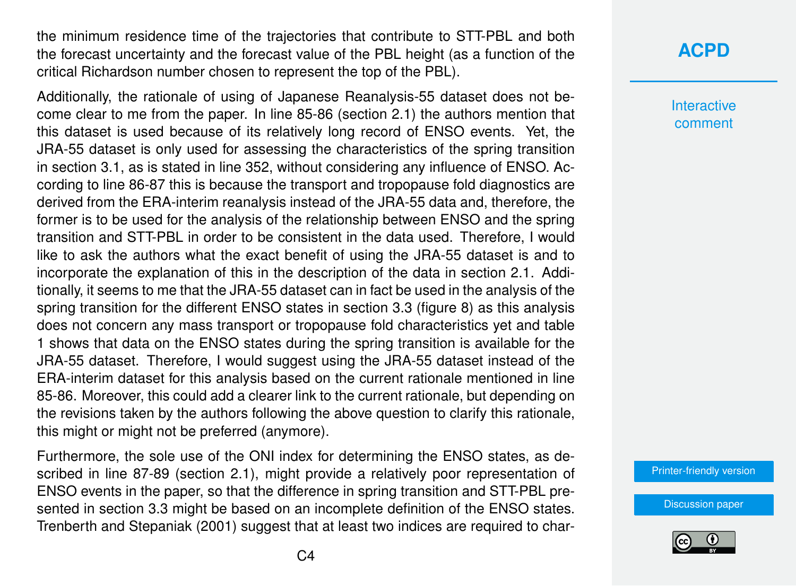the minimum residence time of the trajectories that contribute to STT-PBL and both the forecast uncertainty and the forecast value of the PBL height (as a function of the critical Richardson number chosen to represent the top of the PBL).

Additionally, the rationale of using of Japanese Reanalysis-55 dataset does not become clear to me from the paper. In line 85-86 (section 2.1) the authors mention that this dataset is used because of its relatively long record of ENSO events. Yet, the JRA-55 dataset is only used for assessing the characteristics of the spring transition in section 3.1, as is stated in line 352, without considering any influence of ENSO. According to line 86-87 this is because the transport and tropopause fold diagnostics are derived from the ERA-interim reanalysis instead of the JRA-55 data and, therefore, the former is to be used for the analysis of the relationship between ENSO and the spring transition and STT-PBL in order to be consistent in the data used. Therefore, I would like to ask the authors what the exact benefit of using the JRA-55 dataset is and to incorporate the explanation of this in the description of the data in section 2.1. Additionally, it seems to me that the JRA-55 dataset can in fact be used in the analysis of the spring transition for the different ENSO states in section 3.3 (figure 8) as this analysis does not concern any mass transport or tropopause fold characteristics yet and table 1 shows that data on the ENSO states during the spring transition is available for the JRA-55 dataset. Therefore, I would suggest using the JRA-55 dataset instead of the ERA-interim dataset for this analysis based on the current rationale mentioned in line 85-86. Moreover, this could add a clearer link to the current rationale, but depending on the revisions taken by the authors following the above question to clarify this rationale, this might or might not be preferred (anymore).

Furthermore, the sole use of the ONI index for determining the ENSO states, as described in line 87-89 (section 2.1), might provide a relatively poor representation of ENSO events in the paper, so that the difference in spring transition and STT-PBL presented in section 3.3 might be based on an incomplete definition of the ENSO states. Trenberth and Stepaniak (2001) suggest that at least two indices are required to char-

## **[ACPD](https://acp.copernicus.org/preprints/)**

**Interactive** comment

[Printer-friendly version](https://acp.copernicus.org/preprints/acp-2020-604/acp-2020-604-SC1-print.pdf)

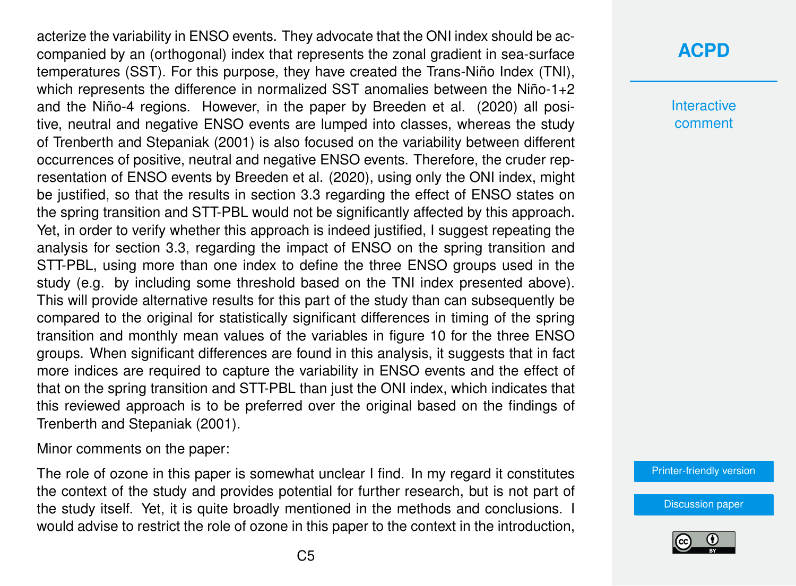acterize the variability in ENSO events. They advocate that the ONI index should be accompanied by an (orthogonal) index that represents the zonal gradient in sea-surface temperatures (SST). For this purpose, they have created the Trans-Niño Index (TNI), which represents the difference in normalized SST anomalies between the Niño-1+2 and the Niño-4 regions. However, in the paper by Breeden et al. (2020) all positive, neutral and negative ENSO events are lumped into classes, whereas the study of Trenberth and Stepaniak (2001) is also focused on the variability between different occurrences of positive, neutral and negative ENSO events. Therefore, the cruder representation of ENSO events by Breeden et al. (2020), using only the ONI index, might be justified, so that the results in section 3.3 regarding the effect of ENSO states on the spring transition and STT-PBL would not be significantly affected by this approach. Yet, in order to verify whether this approach is indeed justified, I suggest repeating the analysis for section 3.3, regarding the impact of ENSO on the spring transition and STT-PBL, using more than one index to define the three ENSO groups used in the study (e.g. by including some threshold based on the TNI index presented above). This will provide alternative results for this part of the study than can subsequently be compared to the original for statistically significant differences in timing of the spring transition and monthly mean values of the variables in figure 10 for the three ENSO groups. When significant differences are found in this analysis, it suggests that in fact more indices are required to capture the variability in ENSO events and the effect of that on the spring transition and STT-PBL than just the ONI index, which indicates that this reviewed approach is to be preferred over the original based on the findings of Trenberth and Stepaniak (2001).

Minor comments on the paper:

The role of ozone in this paper is somewhat unclear I find. In my regard it constitutes the context of the study and provides potential for further research, but is not part of the study itself. Yet, it is quite broadly mentioned in the methods and conclusions. I would advise to restrict the role of ozone in this paper to the context in the introduction,

## **[ACPD](https://acp.copernicus.org/preprints/)**

**Interactive** comment

[Printer-friendly version](https://acp.copernicus.org/preprints/acp-2020-604/acp-2020-604-SC1-print.pdf)

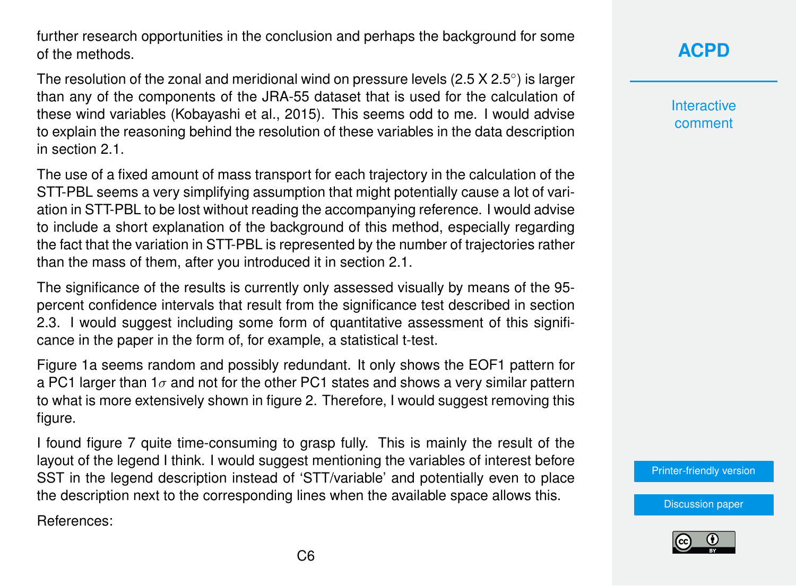further research opportunities in the conclusion and perhaps the background for some of the methods.

The resolution of the zonal and meridional wind on pressure levels (2.5 X 2.5 $^{\circ}$ ) is larger than any of the components of the JRA-55 dataset that is used for the calculation of these wind variables (Kobayashi et al., 2015). This seems odd to me. I would advise to explain the reasoning behind the resolution of these variables in the data description in section 2.1.

The use of a fixed amount of mass transport for each trajectory in the calculation of the STT-PBL seems a very simplifying assumption that might potentially cause a lot of variation in STT-PBL to be lost without reading the accompanying reference. I would advise to include a short explanation of the background of this method, especially regarding the fact that the variation in STT-PBL is represented by the number of trajectories rather than the mass of them, after you introduced it in section 2.1.

The significance of the results is currently only assessed visually by means of the 95 percent confidence intervals that result from the significance test described in section 2.3. I would suggest including some form of quantitative assessment of this significance in the paper in the form of, for example, a statistical t-test.

Figure 1a seems random and possibly redundant. It only shows the EOF1 pattern for a PC1 larger than 1 $\sigma$  and not for the other PC1 states and shows a very similar pattern to what is more extensively shown in figure 2. Therefore, I would suggest removing this figure.

I found figure 7 quite time-consuming to grasp fully. This is mainly the result of the layout of the legend I think. I would suggest mentioning the variables of interest before SST in the legend description instead of 'STT/variable' and potentially even to place the description next to the corresponding lines when the available space allows this.

References:

## **[ACPD](https://acp.copernicus.org/preprints/)**

**Interactive** comment

[Printer-friendly version](https://acp.copernicus.org/preprints/acp-2020-604/acp-2020-604-SC1-print.pdf)